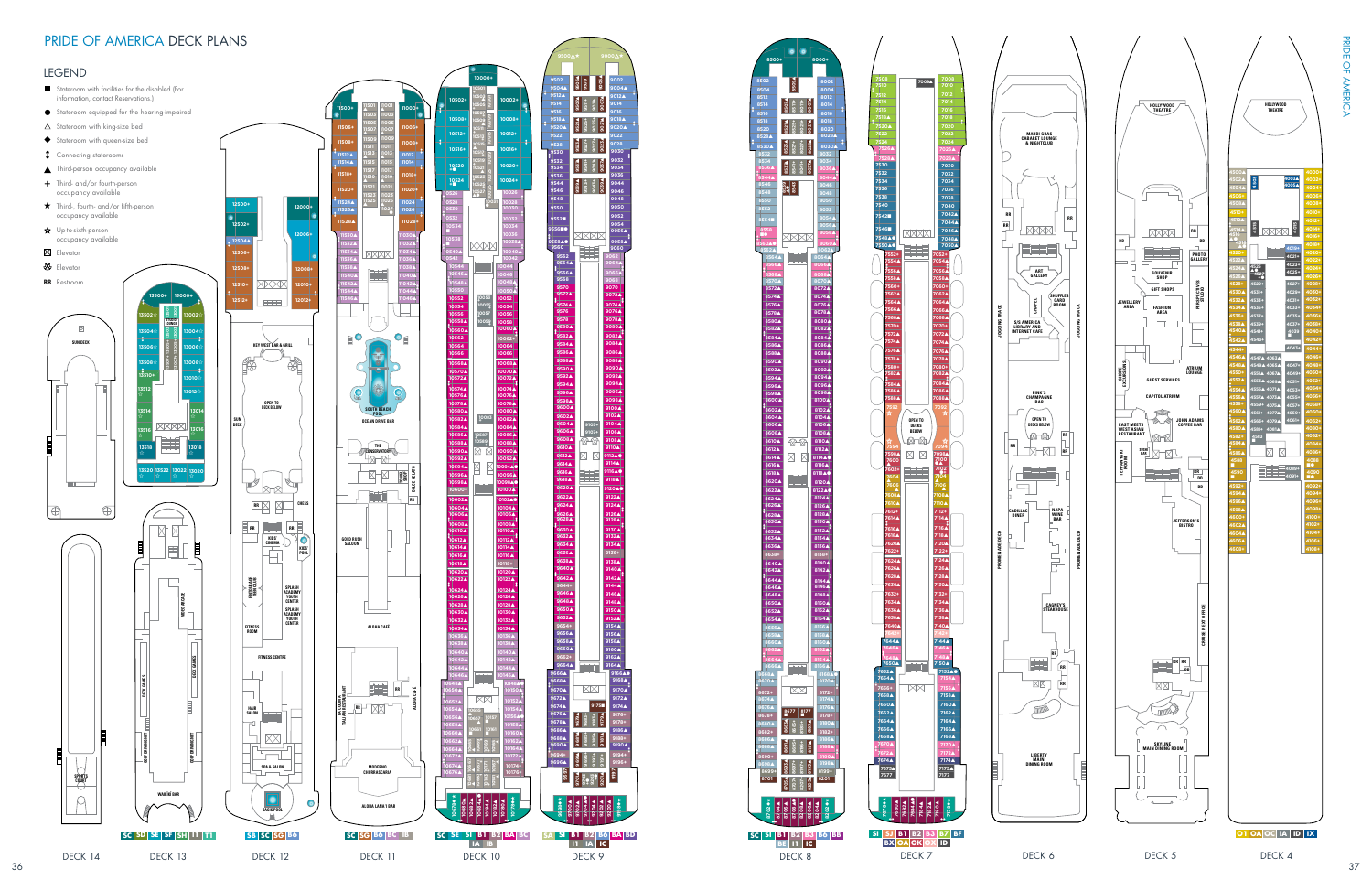



**RR**

**RR**





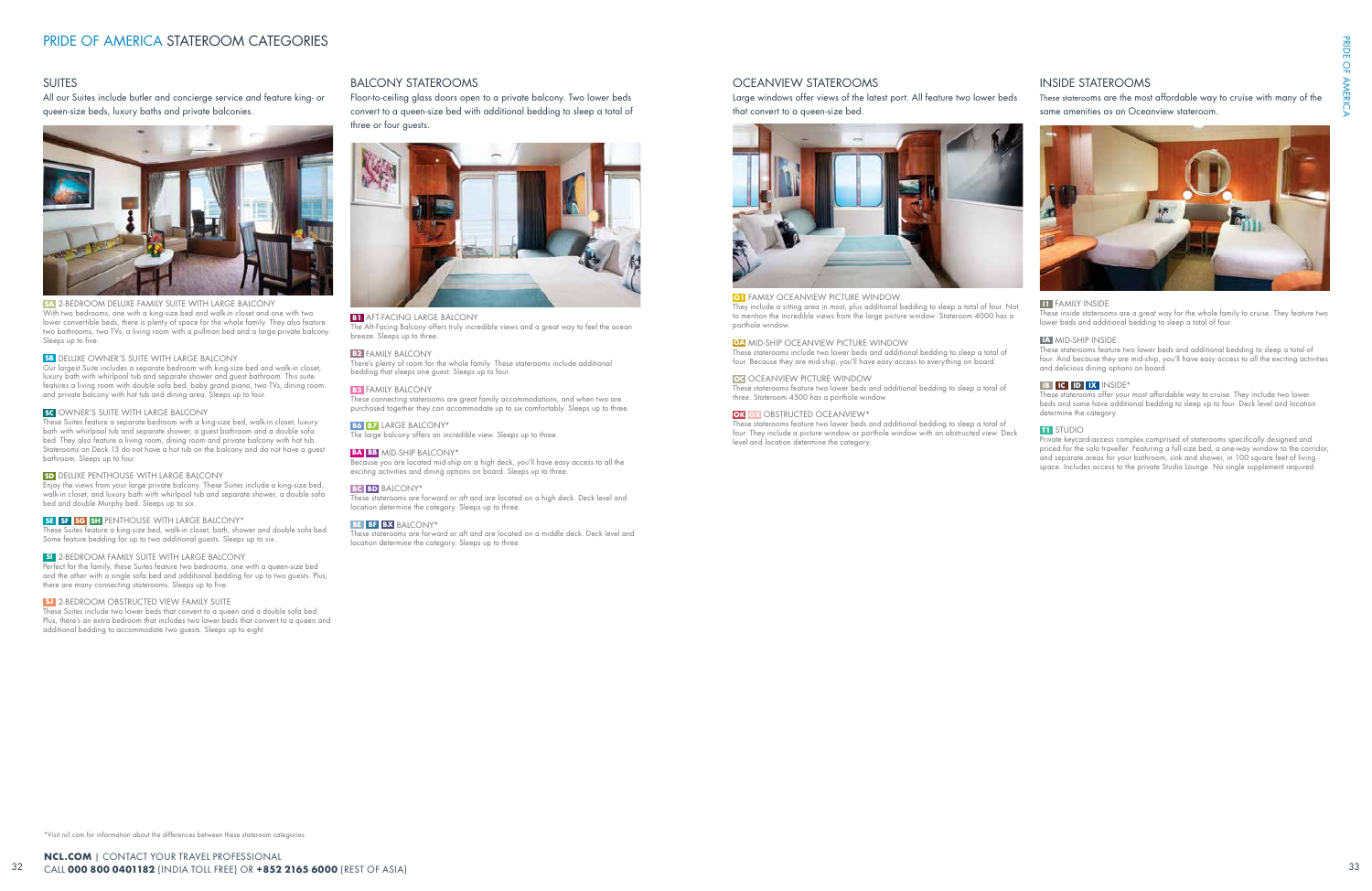\*Visit ncl.com for information about the differences between these stateroom categories.

## BALCONY STATEROOMS

Floor-to-ceiling glass doors open to a private balcony. Two lower beds convert to a queen-size bed with additional bedding to sleep a total of three or four guests.



#### **B1** AFT-FACING LARGE BALCONY

The Aft-Facing Balcony offers truly incredible views and a great way to feel the ocean breeze. Sleeps up to three.

### **B<sub>2</sub>** FAMILY BALCONY

Because you are located mid-ship on a high deck, you'll have easy access to all the exciting activities and dining options on board. Sleeps up to three.

There's plenty of room for the whole family. These staterooms include additional bedding that sleeps one guest. Sleeps up to four.

#### **B3** FAMILY BALCONY

These connecting staterooms are great family accommodations, and when two are purchased together they can accommodate up to six comfortably. Sleeps up to three.

### **B6 B7** LARGE BALCONY\*

The large balcony offers an incredible view. Sleeps up to three.

## **BA BB** MID-SHIP BALCONY\*

#### **BC BD** BALCONY\*

These staterooms are forward or aft and are located on a high deck. Deck level and location determine the category. Sleeps up to three.

#### **BE BF BX** BALCONY\*

These staterooms are forward or aft and are located on a middle deck. Deck level and location determine the category. Sleeps up to three.

## OCEANVIEW STATEROOMS

Large windows offer views of the latest port. All feature two lower beds that convert to a queen-size bed.



## **O1** FAMILY OCEANVIEW PICTURE WINDOW

They include a sitting area in most, plus additional bedding to sleep a total of four. Not to mention the incredible views from the large picture window. Stateroom 4000 has a porthole window.

## **OA** MID-SHIP OCEANVIEW PICTURE WINDOW

These staterooms include two lower beds and additional bedding to sleep a total of four. Because they are mid-ship, you'll have easy access to everything on board.

## **OC** OCEANVIEW PICTURE WINDOW

These staterooms feature two lower beds and additional bedding to sleep a total of three. Stateroom 4500 has a porthole window.

#### **OK OX** OBSTRUCTED OCEANVIEW\*

These staterooms feature two lower beds and additional bedding to sleep a total of four. They include a picture window or porthole window with an obstructed view. Deck level and location determine the category.

## INSIDE STATEROOMS

These staterooms are the most affordable way to cruise with many of the same amenities as an Oceanview stateroom.



### **I1** FAMILY INSIDE

These inside staterooms are a great way for the whole family to cruise. They feature two lower beds and additional bedding to sleep a total of four.

## **IA** MID-SHIP INSIDE

These staterooms feature two lower beds and additional bedding to sleep a total of four. And because they are mid-ship, you'll have easy access to all the exciting activities and delicious dining options on board.

#### **IB IC ID IX** INSIDE\*

These staterooms offer your most affordable way to cruise. They include two lower beds and some have additional bedding to sleep up to four. Deck level and location determine the category.

#### **T1** STUDIO

Private keycard-access complex comprised of staterooms specifically designed and priced for the solo traveller. Featuring a full-size bed, a one-way window to the corridor, and separate areas for your bathroom, sink and shower, in 100 square feet of living space. Includes access to the private Studio Lounge. No single supplement required.

## SUITES

All our Suites include butler and concierge service and feature king- or queen-size beds, luxury baths and private balconies.



### **SA** 2-BEDROOM DELUXE FAMILY SUITE WITH LARGE BALCONY

With two bedrooms, one with a king-size bed and walk-in closet and one with two lower convertible beds, there is plenty of space for the whole family. They also feature two bathrooms, two TVs, a living room with a pullman bed and a large private balcony. Sleeps up to five.

#### **SB** DELUXE OWNER'S SUITE WITH LARGE BALCONY

Our largest Suite includes a separate bedroom with king-size bed and walk-in closet, luxury bath with whirlpool tub and separate shower and guest bathroom. This suite features a living room with double sofa bed, baby grand piano, two TVs, dining room and private balcony with hot tub and dining area. Sleeps up to four.

#### **SC** OWNER'S SUITE WITH LARGE BALCONY

These Suites feature a separate bedroom with a king-size bed, walk-in closet, luxury bath with whirlpool tub and separate shower, a guest bathroom and a double sofa bed. They also feature a living room, dining room and private balcony with hot tub. Staterooms on Deck 13 do not have a hot tub on the balcony and do not have a guest bathroom. Sleeps up to four.

#### **SD** DELUXE PENTHOUSE WITH LARGE BALCONY

Enjoy the views from your large private balcony. These Suites include a king-size bed, walk-in closet, and luxury bath with whirlpool tub and separate shower, a double sofa bed and double Murphy bed. Sleeps up to six.

## **SE SF SG SH** PENTHOUSE WITH LARGE BALCONY\*

These Suites feature a king-size bed, walk-in closet, bath, shower and double sofa bed. Some feature bedding for up to two additional guests. Sleeps up to six.

### **SI** 2-BEDROOM FAMILY SUITE WITH LARGE BALCONY

Perfect for the family, these Suites feature two bedrooms, one with a queen-size bed and the other with a single sofa bed and additional bedding for up to two guests. Plus, there are many connecting staterooms. Sleeps up to five.

#### **SJ** 2-BEDROOM OBSTRUCTED VIEW FAMILY SUITE

These Suites include two lower beds that convert to a queen and a double sofa bed. Plus, there's an extra bedroom that includes two lower beds that convert to a queen and additional bedding to accommodate two guests. Sleeps up to eight.